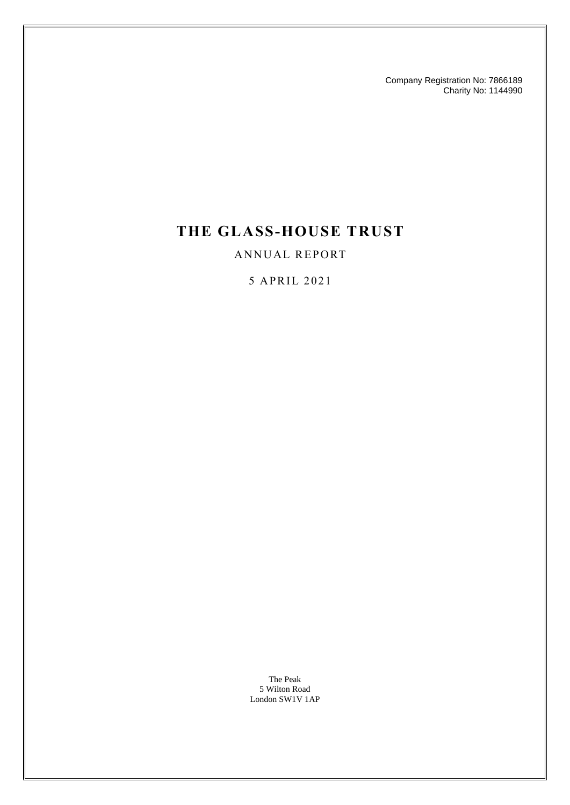Company Registration No: 7866189 Charity No: 1144990

## **THE GLASS-HOUSE TRUST**

#### ANNUAL REPORT

#### 5 APR IL 2 02 1

The Peak 5 Wilton Road London SW1V 1AP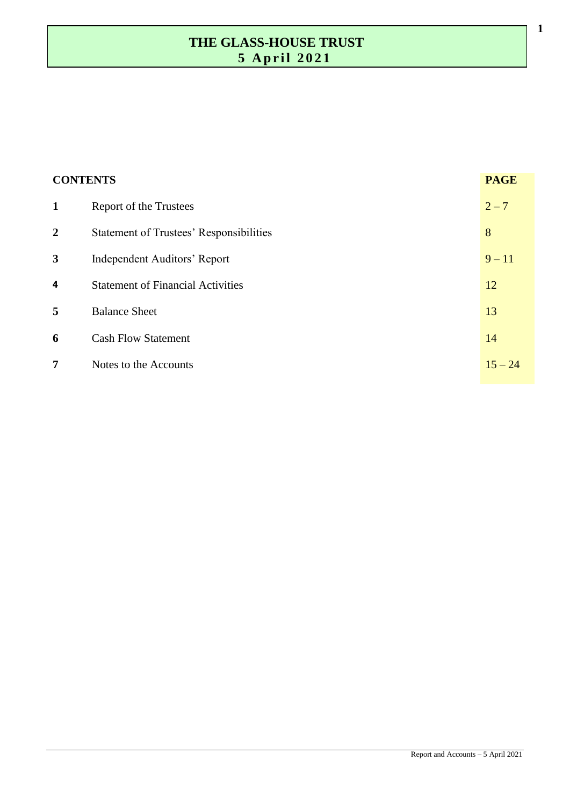| <b>CONTENTS</b> |                                                | <b>PAGE</b> |
|-----------------|------------------------------------------------|-------------|
| $\mathbf{1}$    | Report of the Trustees                         | $2 - 7$     |
| $\overline{2}$  | <b>Statement of Trustees' Responsibilities</b> | 8           |
| 3               | Independent Auditors' Report                   | $9 - 11$    |
| 4               | <b>Statement of Financial Activities</b>       | 12          |
| 5               | <b>Balance Sheet</b>                           | 13          |
| 6               | <b>Cash Flow Statement</b>                     | 14          |
| 7               | Notes to the Accounts                          | $15 - 24$   |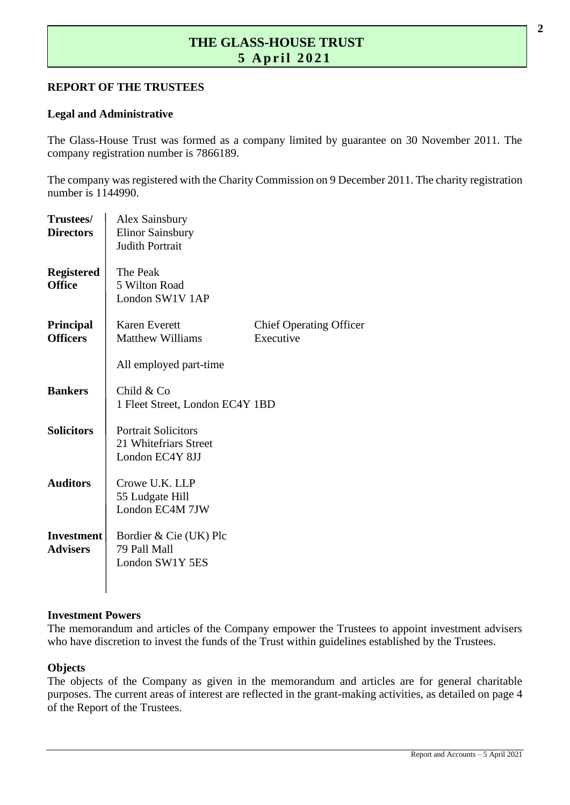#### **REPORT OF THE TRUSTEES**

#### **Legal and Administrative**

The Glass-House Trust was formed as a company limited by guarantee on 30 November 2011. The company registration number is 7866189.

The company was registered with the Charity Commission on 9 December 2011. The charity registration number is 1144990.

| Trustees/<br><b>Directors</b>        | <b>Alex Sainsbury</b><br><b>Elinor Sainsbury</b><br><b>Judith Portrait</b> |                                             |  |  |  |
|--------------------------------------|----------------------------------------------------------------------------|---------------------------------------------|--|--|--|
| <b>Registered</b><br><b>Office</b>   | The Peak<br>5 Wilton Road<br>London SW1V 1AP                               |                                             |  |  |  |
| <b>Principal</b><br><b>Officers</b>  | <b>Karen Everett</b><br><b>Matthew Williams</b>                            | <b>Chief Operating Officer</b><br>Executive |  |  |  |
|                                      | All employed part-time                                                     |                                             |  |  |  |
| <b>Bankers</b>                       | Child & Co<br>1 Fleet Street, London EC4Y 1BD                              |                                             |  |  |  |
| <b>Solicitors</b>                    | <b>Portrait Solicitors</b><br>21 Whitefriars Street<br>London EC4Y 8JJ     |                                             |  |  |  |
| <b>Auditors</b>                      | Crowe U.K. LLP<br>55 Ludgate Hill<br>London EC4M 7JW                       |                                             |  |  |  |
| <b>Investment</b><br><b>Advisers</b> | Bordier & Cie (UK) Plc<br>79 Pall Mall<br>London SW1Y 5ES                  |                                             |  |  |  |

#### **Investment Powers**

The memorandum and articles of the Company empower the Trustees to appoint investment advisers who have discretion to invest the funds of the Trust within guidelines established by the Trustees.

#### **Objects**

The objects of the Company as given in the memorandum and articles are for general charitable purposes. The current areas of interest are reflected in the grant-making activities, as detailed on page 4 of the Report of the Trustees.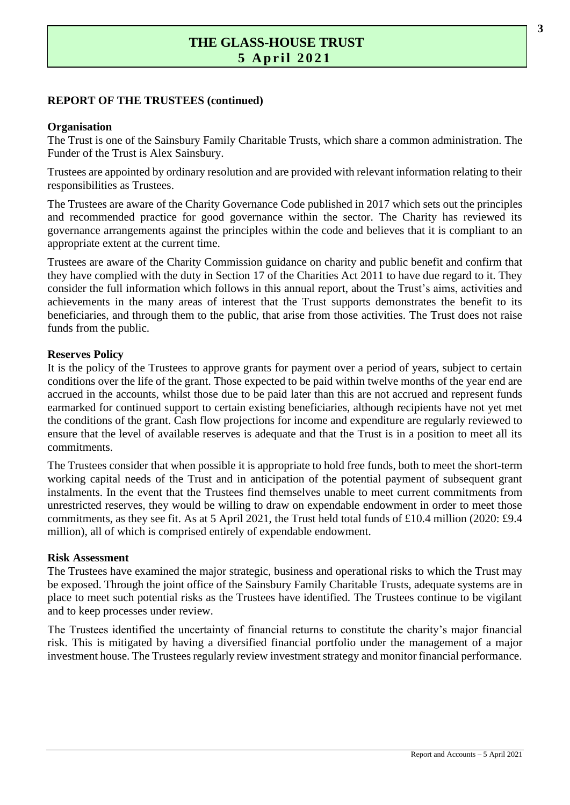#### **REPORT OF THE TRUSTEES (continued)**

#### **Organisation**

The Trust is one of the Sainsbury Family Charitable Trusts, which share a common administration. The Funder of the Trust is Alex Sainsbury.

Trustees are appointed by ordinary resolution and are provided with relevant information relating to their responsibilities as Trustees.

The Trustees are aware of the Charity Governance Code published in 2017 which sets out the principles and recommended practice for good governance within the sector. The Charity has reviewed its governance arrangements against the principles within the code and believes that it is compliant to an appropriate extent at the current time.

Trustees are aware of the Charity Commission guidance on charity and public benefit and confirm that they have complied with the duty in Section 17 of the Charities Act 2011 to have due regard to it. They consider the full information which follows in this annual report, about the Trust's aims, activities and achievements in the many areas of interest that the Trust supports demonstrates the benefit to its beneficiaries, and through them to the public, that arise from those activities. The Trust does not raise funds from the public.

#### **Reserves Policy**

It is the policy of the Trustees to approve grants for payment over a period of years, subject to certain conditions over the life of the grant. Those expected to be paid within twelve months of the year end are accrued in the accounts, whilst those due to be paid later than this are not accrued and represent funds earmarked for continued support to certain existing beneficiaries, although recipients have not yet met the conditions of the grant. Cash flow projections for income and expenditure are regularly reviewed to ensure that the level of available reserves is adequate and that the Trust is in a position to meet all its commitments.

The Trustees consider that when possible it is appropriate to hold free funds, both to meet the short-term working capital needs of the Trust and in anticipation of the potential payment of subsequent grant instalments. In the event that the Trustees find themselves unable to meet current commitments from unrestricted reserves, they would be willing to draw on expendable endowment in order to meet those commitments, as they see fit. As at 5 April 2021, the Trust held total funds of £10.4 million (2020: £9.4 million), all of which is comprised entirely of expendable endowment.

#### **Risk Assessment**

The Trustees have examined the major strategic, business and operational risks to which the Trust may be exposed. Through the joint office of the Sainsbury Family Charitable Trusts, adequate systems are in place to meet such potential risks as the Trustees have identified. The Trustees continue to be vigilant and to keep processes under review.

The Trustees identified the uncertainty of financial returns to constitute the charity's major financial risk. This is mitigated by having a diversified financial portfolio under the management of a major investment house. The Trustees regularly review investment strategy and monitor financial performance.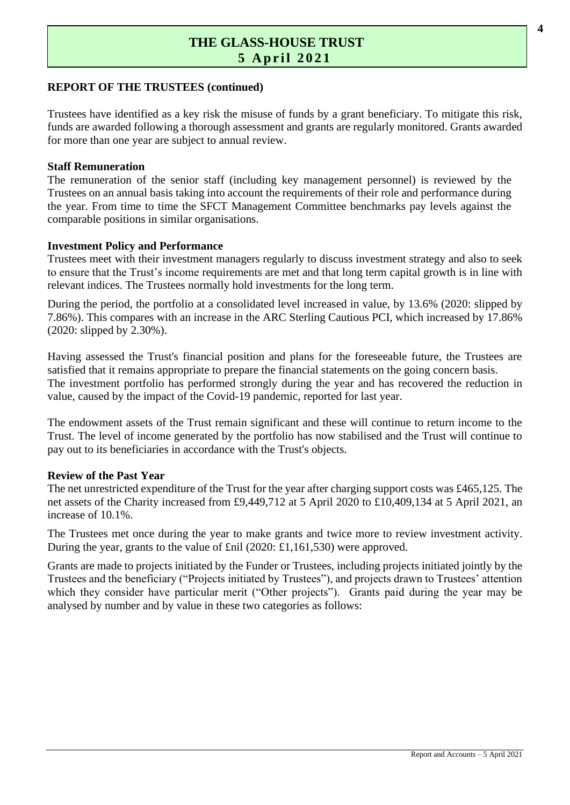#### **REPORT OF THE TRUSTEES (continued)**

Trustees have identified as a key risk the misuse of funds by a grant beneficiary. To mitigate this risk, funds are awarded following a thorough assessment and grants are regularly monitored. Grants awarded for more than one year are subject to annual review.

#### **Staff Remuneration**

The remuneration of the senior staff (including key management personnel) is reviewed by the Trustees on an annual basis taking into account the requirements of their role and performance during the year. From time to time the SFCT Management Committee benchmarks pay levels against the comparable positions in similar organisations.

#### **Investment Policy and Performance**

Trustees meet with their investment managers regularly to discuss investment strategy and also to seek to ensure that the Trust's income requirements are met and that long term capital growth is in line with relevant indices. The Trustees normally hold investments for the long term.

During the period, the portfolio at a consolidated level increased in value, by 13.6% (2020: slipped by 7.86%). This compares with an increase in the ARC Sterling Cautious PCI, which increased by 17.86% (2020: slipped by 2.30%).

Having assessed the Trust's financial position and plans for the foreseeable future, the Trustees are satisfied that it remains appropriate to prepare the financial statements on the going concern basis. The investment portfolio has performed strongly during the year and has recovered the reduction in value, caused by the impact of the Covid-19 pandemic, reported for last year.

The endowment assets of the Trust remain significant and these will continue to return income to the Trust. The level of income generated by the portfolio has now stabilised and the Trust will continue to pay out to its beneficiaries in accordance with the Trust's objects.

#### **Review of the Past Year**

The net unrestricted expenditure of the Trust for the year after charging support costs was £465,125. The net assets of the Charity increased from £9,449,712 at 5 April 2020 to £10,409,134 at 5 April 2021, an increase of 10.1%.

The Trustees met once during the year to make grants and twice more to review investment activity. During the year, grants to the value of £nil (2020: £1,161,530) were approved.

Grants are made to projects initiated by the Funder or Trustees, including projects initiated jointly by the Trustees and the beneficiary ("Projects initiated by Trustees"), and projects drawn to Trustees' attention which they consider have particular merit ("Other projects"). Grants paid during the year may be analysed by number and by value in these two categories as follows: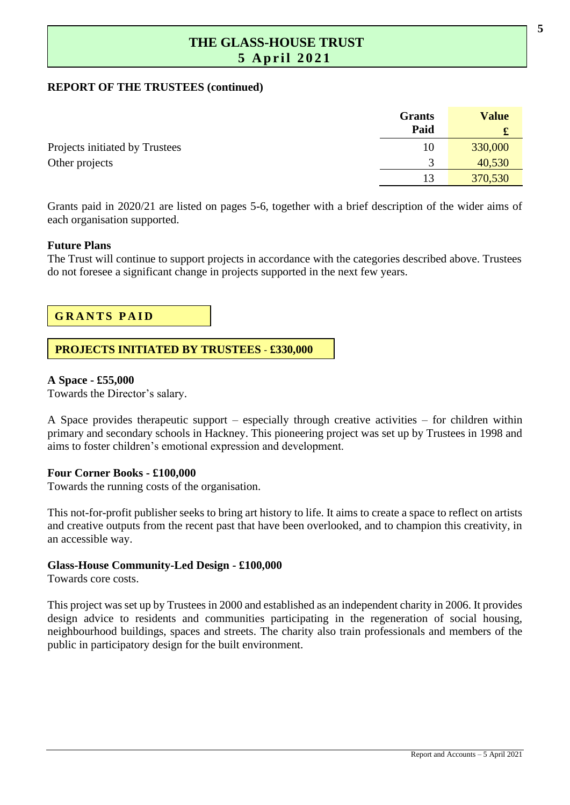#### **REPORT OF THE TRUSTEES (continued)**

|                                | Grants<br>Paid | <b>Value</b><br>£ |
|--------------------------------|----------------|-------------------|
| Projects initiated by Trustees | 10             | 330,000           |
| Other projects                 |                | 40,530            |
|                                | 13             | 370,530           |

Grants paid in 2020/21 are listed on pages 5-6, together with a brief description of the wider aims of each organisation supported.

#### **Future Plans**

The Trust will continue to support projects in accordance with the categories described above. Trustees do not foresee a significant change in projects supported in the next few years.

#### **GRANTS PAID**

#### **PROJECTS INITIATED BY TRUSTEES** - **£330,000**

#### **A Space - £55,000**

Towards the Director's salary.

A Space provides therapeutic support – especially through creative activities – for children within primary and secondary schools in Hackney. This pioneering project was set up by Trustees in 1998 and aims to foster children's emotional expression and development.

#### **Four Corner Books - £100,000**

Towards the running costs of the organisation.

This not-for-profit publisher seeks to bring art history to life. It aims to create a space to reflect on artists and creative outputs from the recent past that have been overlooked, and to champion this creativity, in an accessible way.

#### **Glass-House Community-Led Design - £100,000**

Towards core costs.

This project was set up by Trustees in 2000 and established as an independent charity in 2006. It provides design advice to residents and communities participating in the regeneration of social housing, neighbourhood buildings, spaces and streets. The charity also train professionals and members of the public in participatory design for the built environment.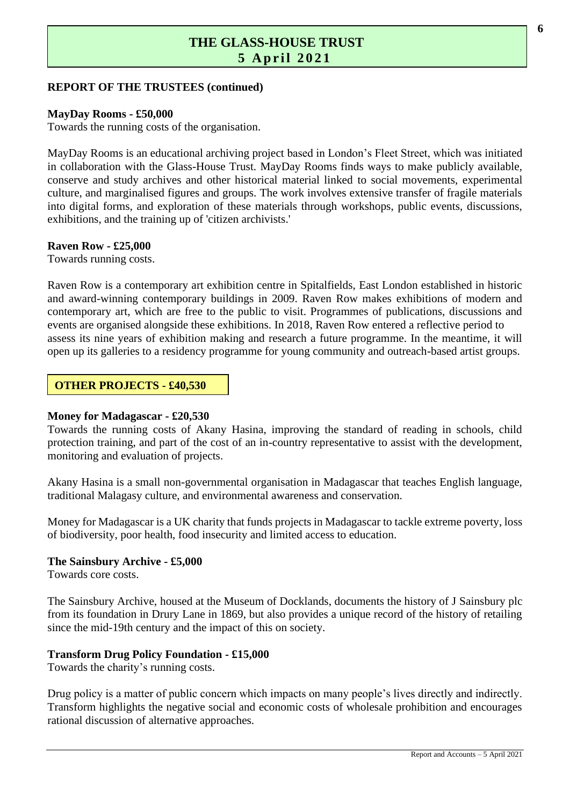#### **REPORT OF THE TRUSTEES (continued)**

#### **MayDay Rooms - £50,000**

Towards the running costs of the organisation.

MayDay Rooms is an educational archiving project based in London's Fleet Street, which was initiated in collaboration with the Glass-House Trust. MayDay Rooms finds ways to make publicly available, conserve and study archives and other historical material linked to social movements, experimental culture, and marginalised figures and groups. The work involves extensive transfer of fragile materials into digital forms, and exploration of these materials through workshops, public events, discussions, exhibitions, and the training up of 'citizen archivists.'

#### **Raven Row - £25,000**

Towards running costs.

Raven Row is a contemporary art exhibition centre in Spitalfields, East London established in historic and award-winning contemporary buildings in 2009. Raven Row makes exhibitions of modern and contemporary art, which are free to the public to visit. Programmes of publications, discussions and events are organised alongside these exhibitions. In 2018, Raven Row entered a reflective period to assess its nine years of exhibition making and research a future programme. In the meantime, it will open up its galleries to a residency programme for young community and outreach-based artist groups.

#### **OTHER PROJECTS - £40,530**

#### **Money for Madagascar - £20,530**

Towards the running costs of Akany Hasina, improving the standard of reading in schools, child protection training, and part of the cost of an in-country representative to assist with the development, monitoring and evaluation of projects.

Akany Hasina is a small non-governmental organisation in Madagascar that teaches English language, traditional Malagasy culture, and environmental awareness and conservation.

Money for Madagascar is a UK charity that funds projects in Madagascar to tackle extreme poverty, loss of biodiversity, poor health, food insecurity and limited access to education.

#### **The Sainsbury Archive - £5,000**

Towards core costs.

The Sainsbury Archive, housed at the Museum of Docklands, documents the history of J Sainsbury plc from its foundation in Drury Lane in 1869, but also provides a unique record of the history of retailing since the mid-19th century and the impact of this on society.

#### **Transform Drug Policy Foundation - £15,000**

Towards the charity's running costs.

Drug policy is a matter of public concern which impacts on many people's lives directly and indirectly. Transform highlights the negative social and economic costs of wholesale prohibition and encourages rational discussion of alternative approaches.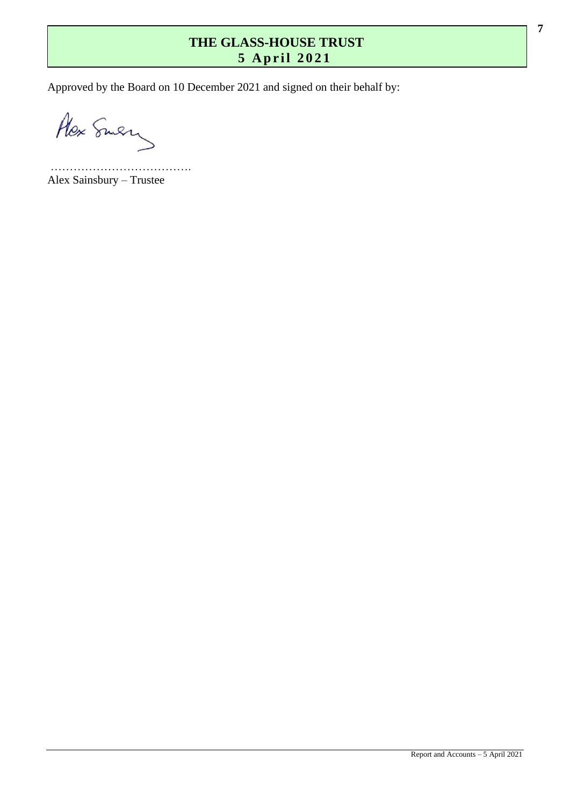Approved by the Board on 10 December 2021 and signed on their behalf by:

Alex Smery

………………………………. Alex Sainsbury – Trustee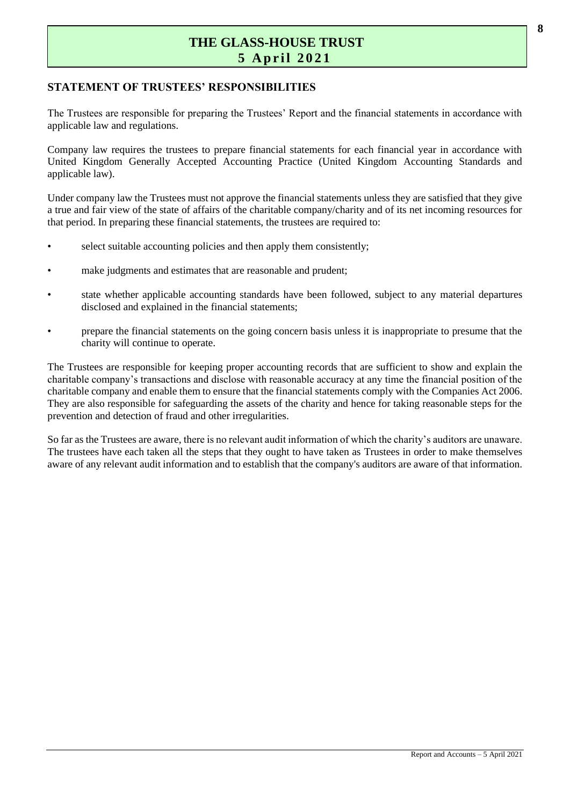#### **STATEMENT OF TRUSTEES' RESPONSIBILITIES**

The Trustees are responsible for preparing the Trustees' Report and the financial statements in accordance with applicable law and regulations.

Company law requires the trustees to prepare financial statements for each financial year in accordance with United Kingdom Generally Accepted Accounting Practice (United Kingdom Accounting Standards and applicable law).

Under company law the Trustees must not approve the financial statements unless they are satisfied that they give a true and fair view of the state of affairs of the charitable company/charity and of its net incoming resources for that period. In preparing these financial statements, the trustees are required to:

- select suitable accounting policies and then apply them consistently;
- make judgments and estimates that are reasonable and prudent;
- state whether applicable accounting standards have been followed, subject to any material departures disclosed and explained in the financial statements;
- prepare the financial statements on the going concern basis unless it is inappropriate to presume that the charity will continue to operate.

The Trustees are responsible for keeping proper accounting records that are sufficient to show and explain the charitable company's transactions and disclose with reasonable accuracy at any time the financial position of the charitable company and enable them to ensure that the financial statements comply with the Companies Act 2006. They are also responsible for safeguarding the assets of the charity and hence for taking reasonable steps for the prevention and detection of fraud and other irregularities.

So far as the Trustees are aware, there is no relevant audit information of which the charity's auditors are unaware. The trustees have each taken all the steps that they ought to have taken as Trustees in order to make themselves aware of any relevant audit information and to establish that the company's auditors are aware of that information.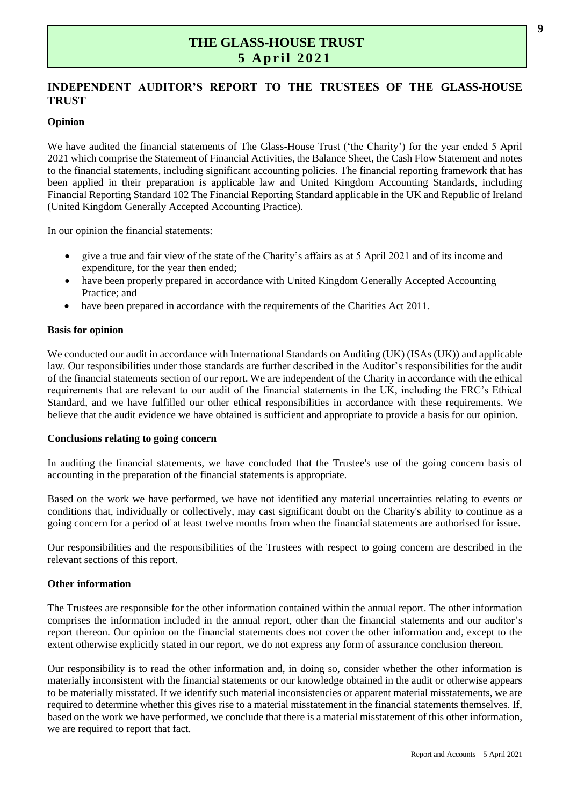#### **INDEPENDENT AUDITOR'S REPORT TO THE TRUSTEES OF THE GLASS-HOUSE TRUST**

#### **Opinion**

We have audited the financial statements of The Glass-House Trust ('the Charity') for the year ended 5 April 2021 which comprise the Statement of Financial Activities, the Balance Sheet, the Cash Flow Statement and notes to the financial statements, including significant accounting policies. The financial reporting framework that has been applied in their preparation is applicable law and United Kingdom Accounting Standards, including Financial Reporting Standard 102 The Financial Reporting Standard applicable in the UK and Republic of Ireland (United Kingdom Generally Accepted Accounting Practice).

In our opinion the financial statements:

- give a true and fair view of the state of the Charity's affairs as at 5 April 2021 and of its income and expenditure, for the year then ended;
- have been properly prepared in accordance with United Kingdom Generally Accepted Accounting Practice; and
- have been prepared in accordance with the requirements of the Charities Act 2011.

#### **Basis for opinion**

We conducted our audit in accordance with International Standards on Auditing (UK) (ISAs (UK)) and applicable law. Our responsibilities under those standards are further described in the Auditor's responsibilities for the audit of the financial statements section of our report. We are independent of the Charity in accordance with the ethical requirements that are relevant to our audit of the financial statements in the UK, including the FRC's Ethical Standard, and we have fulfilled our other ethical responsibilities in accordance with these requirements. We believe that the audit evidence we have obtained is sufficient and appropriate to provide a basis for our opinion.

#### **Conclusions relating to going concern**

In auditing the financial statements, we have concluded that the Trustee's use of the going concern basis of accounting in the preparation of the financial statements is appropriate.

Based on the work we have performed, we have not identified any material uncertainties relating to events or conditions that, individually or collectively, may cast significant doubt on the Charity's ability to continue as a going concern for a period of at least twelve months from when the financial statements are authorised for issue.

Our responsibilities and the responsibilities of the Trustees with respect to going concern are described in the relevant sections of this report.

#### **Other information**

The Trustees are responsible for the other information contained within the annual report. The other information comprises the information included in the annual report, other than the financial statements and our auditor's report thereon. Our opinion on the financial statements does not cover the other information and, except to the extent otherwise explicitly stated in our report, we do not express any form of assurance conclusion thereon.

Our responsibility is to read the other information and, in doing so, consider whether the other information is materially inconsistent with the financial statements or our knowledge obtained in the audit or otherwise appears to be materially misstated. If we identify such material inconsistencies or apparent material misstatements, we are required to determine whether this gives rise to a material misstatement in the financial statements themselves. If, based on the work we have performed, we conclude that there is a material misstatement of this other information, we are required to report that fact.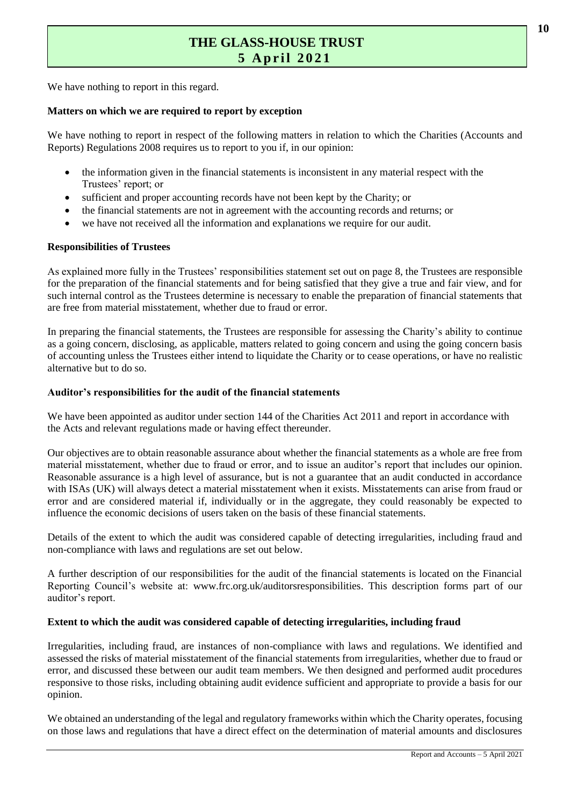We have nothing to report in this regard.

#### **Matters on which we are required to report by exception**

We have nothing to report in respect of the following matters in relation to which the Charities (Accounts and Reports) Regulations 2008 requires us to report to you if, in our opinion:

- the information given in the financial statements is inconsistent in any material respect with the Trustees' report; or
- sufficient and proper accounting records have not been kept by the Charity; or
- the financial statements are not in agreement with the accounting records and returns; or
- we have not received all the information and explanations we require for our audit.

#### **Responsibilities of Trustees**

As explained more fully in the Trustees' responsibilities statement set out on page 8, the Trustees are responsible for the preparation of the financial statements and for being satisfied that they give a true and fair view, and for such internal control as the Trustees determine is necessary to enable the preparation of financial statements that are free from material misstatement, whether due to fraud or error.

In preparing the financial statements, the Trustees are responsible for assessing the Charity's ability to continue as a going concern, disclosing, as applicable, matters related to going concern and using the going concern basis of accounting unless the Trustees either intend to liquidate the Charity or to cease operations, or have no realistic alternative but to do so.

#### **Auditor's responsibilities for the audit of the financial statements**

We have been appointed as auditor under section 144 of the Charities Act 2011 and report in accordance with the Acts and relevant regulations made or having effect thereunder.

Our objectives are to obtain reasonable assurance about whether the financial statements as a whole are free from material misstatement, whether due to fraud or error, and to issue an auditor's report that includes our opinion. Reasonable assurance is a high level of assurance, but is not a guarantee that an audit conducted in accordance with ISAs (UK) will always detect a material misstatement when it exists. Misstatements can arise from fraud or error and are considered material if, individually or in the aggregate, they could reasonably be expected to influence the economic decisions of users taken on the basis of these financial statements.

Details of the extent to which the audit was considered capable of detecting irregularities, including fraud and non-compliance with laws and regulations are set out below.

A further description of our responsibilities for the audit of the financial statements is located on the Financial Reporting Council's website at: [www.frc.org.uk/auditorsresponsibilities.](https://www.frc.org.uk/auditorsresponsibilities) This description forms part of our auditor's report.

#### **Extent to which the audit was considered capable of detecting irregularities, including fraud**

Irregularities, including fraud, are instances of non-compliance with laws and regulations. We identified and assessed the risks of material misstatement of the financial statements from irregularities, whether due to fraud or error, and discussed these between our audit team members. We then designed and performed audit procedures responsive to those risks, including obtaining audit evidence sufficient and appropriate to provide a basis for our opinion.

We obtained an understanding of the legal and regulatory frameworks within which the Charity operates, focusing on those laws and regulations that have a direct effect on the determination of material amounts and disclosures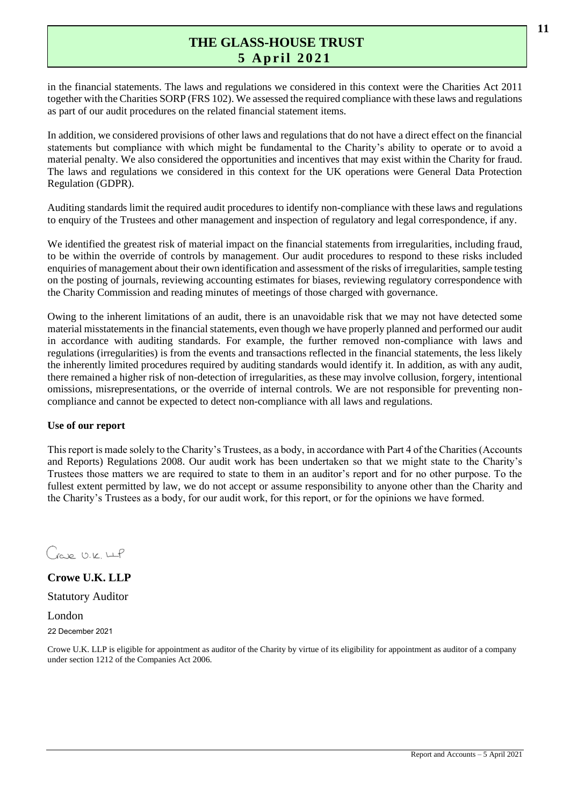in the financial statements. The laws and regulations we considered in this context were the Charities Act 2011 together with the Charities SORP (FRS 102). We assessed the required compliance with these laws and regulations as part of our audit procedures on the related financial statement items.

In addition, we considered provisions of other laws and regulations that do not have a direct effect on the financial statements but compliance with which might be fundamental to the Charity's ability to operate or to avoid a material penalty. We also considered the opportunities and incentives that may exist within the Charity for fraud. The laws and regulations we considered in this context for the UK operations were General Data Protection Regulation (GDPR).

Auditing standards limit the required audit procedures to identify non-compliance with these laws and regulations to enquiry of the Trustees and other management and inspection of regulatory and legal correspondence, if any.

We identified the greatest risk of material impact on the financial statements from irregularities, including fraud, to be within the override of controls by management. Our audit procedures to respond to these risks included enquiries of management about their own identification and assessment of the risks of irregularities, sample testing on the posting of journals, reviewing accounting estimates for biases, reviewing regulatory correspondence with the Charity Commission and reading minutes of meetings of those charged with governance.

Owing to the inherent limitations of an audit, there is an unavoidable risk that we may not have detected some material misstatements in the financial statements, even though we have properly planned and performed our audit in accordance with auditing standards. For example, the further removed non-compliance with laws and regulations (irregularities) is from the events and transactions reflected in the financial statements, the less likely the inherently limited procedures required by auditing standards would identify it. In addition, as with any audit, there remained a higher risk of non-detection of irregularities, as these may involve collusion, forgery, intentional omissions, misrepresentations, or the override of internal controls. We are not responsible for preventing noncompliance and cannot be expected to detect non-compliance with all laws and regulations.

#### **Use of our report**

This report is made solely to the Charity's Trustees, as a body, in accordance with Part 4 of the Charities (Accounts and Reports) Regulations 2008. Our audit work has been undertaken so that we might state to the Charity's Trustees those matters we are required to state to them in an auditor's report and for no other purpose. To the fullest extent permitted by law, we do not accept or assume responsibility to anyone other than the Charity and the Charity's Trustees as a body, for our audit work, for this report, or for the opinions we have formed.

Gave U.K. LLP

**Crowe U.K. LLP** Statutory Auditor

London

22 December 2021

Crowe U.K. LLP is eligible for appointment as auditor of the Charity by virtue of its eligibility for appointment as auditor of a company under section 1212 of the Companies Act 2006.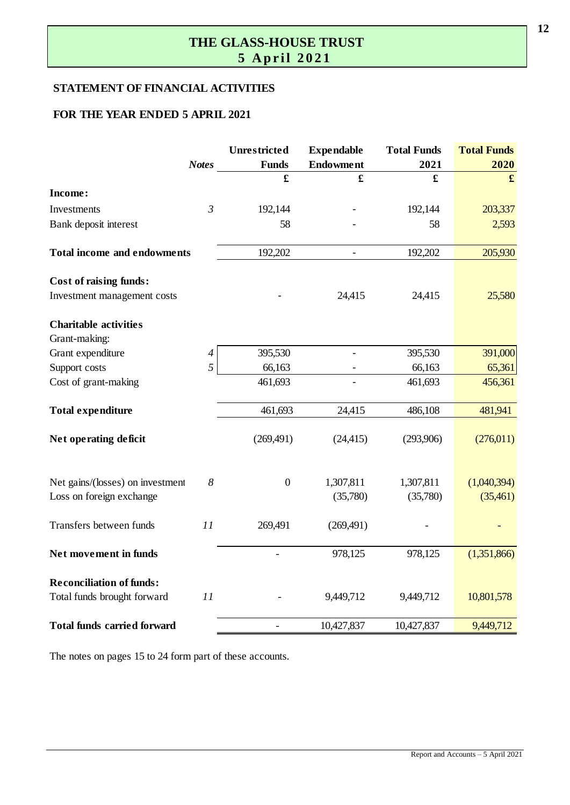## **THE GLASS-HOUSE TRUST**  $\overline{5}$  April 2021

#### **STATEMENT OF FINANCIAL ACTIVITIES**

#### **FOR THE YEAR ENDED 5 APRIL 2021**

|                                                                      | Unrestricted     | <b>Expendable</b>        | <b>Total Funds</b> | <b>Total Funds</b> |
|----------------------------------------------------------------------|------------------|--------------------------|--------------------|--------------------|
| <b>Notes</b>                                                         | <b>Funds</b>     | <b>Endowment</b>         | 2021               | 2020               |
|                                                                      | £                | £                        | £                  | $\mathbf f$        |
| Income:                                                              |                  |                          |                    |                    |
| $\mathfrak{Z}$<br>Investments                                        | 192,144          |                          | 192,144            | 203,337            |
| Bank deposit interest                                                | 58               |                          | 58                 | 2,593              |
| <b>Total income and endowments</b>                                   | 192,202          | $\overline{\phantom{a}}$ | 192,202            | 205,930            |
| <b>Cost of raising funds:</b>                                        |                  |                          |                    |                    |
| Investment management costs                                          |                  | 24,415                   | 24,415             | 25,580             |
| <b>Charitable activities</b>                                         |                  |                          |                    |                    |
| Grant-making:                                                        |                  |                          |                    |                    |
| Grant expenditure<br>$\overline{4}$                                  | 395,530          |                          | 395,530            | 391,000            |
| 5<br>Support costs                                                   | 66,163           |                          | 66,163             | 65,361             |
| Cost of grant-making                                                 | 461,693          |                          | 461,693            | 456,361            |
| <b>Total expenditure</b>                                             | 461,693          | 24,415                   | 486,108            | 481,941            |
| Net operating deficit                                                | (269, 491)       | (24, 415)                | (293,906)          | (276,011)          |
| Net gains/(losses) on investment<br>8                                | $\boldsymbol{0}$ | 1,307,811                | 1,307,811          | (1,040,394)        |
| Loss on foreign exchange                                             |                  | (35,780)                 | (35,780)           | (35,461)           |
| Transfers between funds<br>11                                        | 269,491          | (269, 491)               |                    |                    |
| Net movement in funds                                                |                  | 978,125                  | 978,125            | (1,351,866)        |
| <b>Reconciliation of funds:</b><br>Total funds brought forward<br>11 |                  | 9,449,712                | 9,449,712          | 10,801,578         |
| <b>Total funds carried forward</b>                                   |                  | 10,427,837               | 10,427,837         | 9,449,712          |

The notes on pages 15 to 24 form part of these accounts.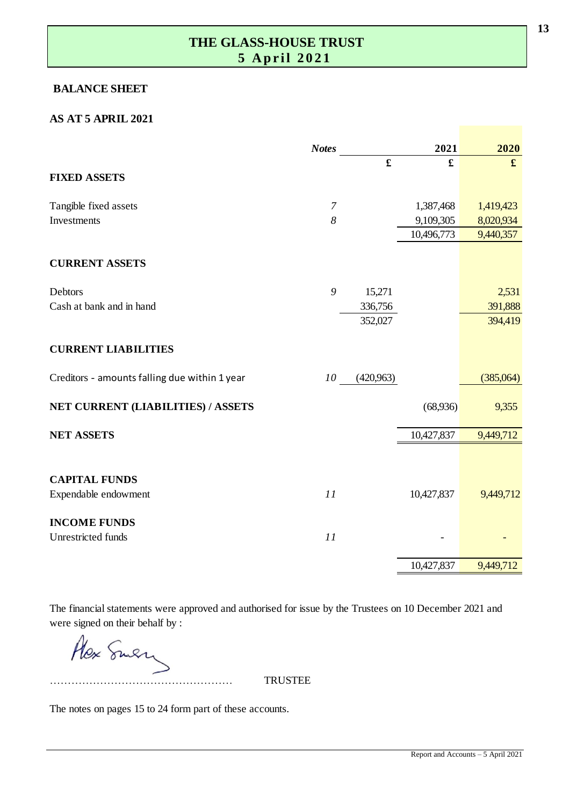#### **BALANCE SHEET**

#### **AS AT 5 APRIL 2021**

|                                               | <b>Notes</b>     |             | 2021        | 2020        |
|-----------------------------------------------|------------------|-------------|-------------|-------------|
|                                               |                  | $\mathbf f$ | $\mathbf f$ | $\mathbf f$ |
| <b>FIXED ASSETS</b>                           |                  |             |             |             |
| Tangible fixed assets                         | $\boldsymbol{7}$ |             | 1,387,468   | 1,419,423   |
| Investments                                   | 8                |             | 9,109,305   | 8,020,934   |
|                                               |                  |             | 10,496,773  | 9,440,357   |
| <b>CURRENT ASSETS</b>                         |                  |             |             |             |
| Debtors                                       | 9                | 15,271      |             | 2,531       |
| Cash at bank and in hand                      |                  | 336,756     |             | 391,888     |
|                                               |                  | 352,027     |             | 394,419     |
| <b>CURRENT LIABILITIES</b>                    |                  |             |             |             |
| Creditors - amounts falling due within 1 year | 10               | (420,963)   |             | (385,064)   |
| NET CURRENT (LIABILITIES) / ASSETS            |                  |             | (68,936)    | 9,355       |
| <b>NET ASSETS</b>                             |                  |             | 10,427,837  | 9,449,712   |
|                                               |                  |             |             |             |
| <b>CAPITAL FUNDS</b>                          |                  |             |             |             |
| Expendable endowment                          | 11               |             | 10,427,837  | 9,449,712   |
| <b>INCOME FUNDS</b>                           |                  |             |             |             |
| Unrestricted funds                            | 11               |             |             |             |
|                                               |                  |             | 10,427,837  | 9,449,712   |

The financial statements were approved and authorised for issue by the Trustees on 10 December 2021 and were signed on their behalf by :

Alex Smen

…………………………………………… TRUSTEE

The notes on pages 15 to 24 form part of these accounts.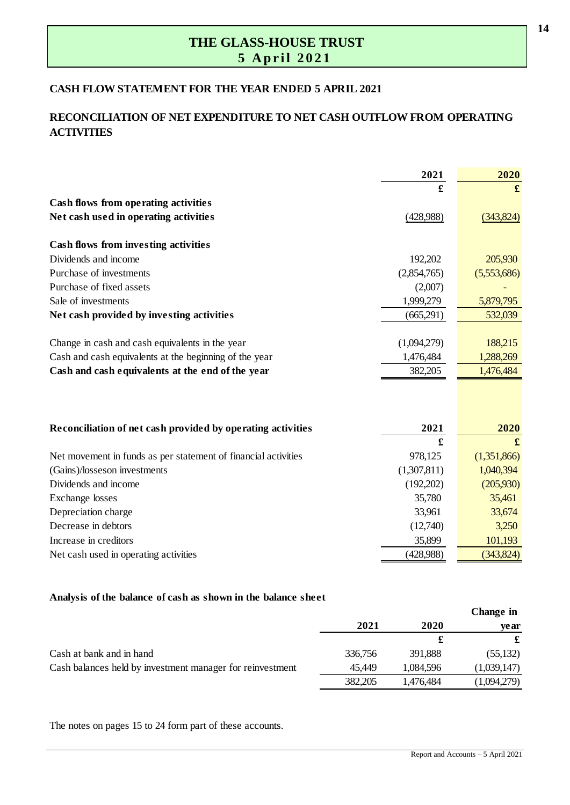#### **CASH FLOW STATEMENT FOR THE YEAR ENDED 5 APRIL 2021**

#### **RECONCILIATION OF NET EXPENDITURE TO NET CASH OUTFLOW FROM OPERATING ACTIVITIES**

|                                                                | 2021        | 2020        |
|----------------------------------------------------------------|-------------|-------------|
|                                                                |             | £           |
| Cash flows from operating activities                           |             |             |
| Net cash used in operating activities                          | (428,988)   | (343,824)   |
| <b>Cash flows from investing activities</b>                    |             |             |
| Dividends and income                                           | 192,202     | 205,930     |
| Purchase of investments                                        | (2,854,765) | (5,553,686) |
| Purchase of fixed assets                                       | (2,007)     |             |
| Sale of investments                                            | 1,999,279   | 5,879,795   |
| Net cash provided by investing activities                      | (665,291)   | 532,039     |
|                                                                |             |             |
| Change in cash and cash equivalents in the year                | (1,094,279) | 188,215     |
| Cash and cash equivalents at the beginning of the year         | 1,476,484   | 1,288,269   |
| Cash and cash equivalents at the end of the year               | 382,205     | 1,476,484   |
|                                                                |             |             |
| Reconciliation of net cash provided by operating activities    | 2021        | 2020        |
|                                                                | £           |             |
| Net movement in funds as per statement of financial activities | 978,125     | (1,351,866) |
| (Gains)/losseson investments                                   | (1,307,811) | 1,040,394   |
| Dividends and income                                           | (192,202)   | (205,930)   |
| <b>Exchange</b> losses                                         | 35,780      | 35,461      |
| Depreciation charge                                            | 33,961      | 33,674      |
| Decrease in debtors                                            | (12,740)    | 3,250       |
| Increase in creditors                                          | 35,899      | 101,193     |
| Net cash used in operating activities                          | (428,988)   | (343, 824)  |

#### **Analysis of the balance of cash as shown in the balance sheet**

|                                                           |         |           | Change in   |
|-----------------------------------------------------------|---------|-----------|-------------|
|                                                           | 2021    | 2020      | ve ar       |
|                                                           |         |           |             |
| Cash at bank and in hand                                  | 336,756 | 391,888   | (55,132)    |
| Cash balances held by investment manager for reinvestment | 45,449  | 1,084,596 | (1,039,147) |
|                                                           | 382,205 | 1,476,484 | (1,094,279) |

The notes on pages 15 to 24 form part of these accounts.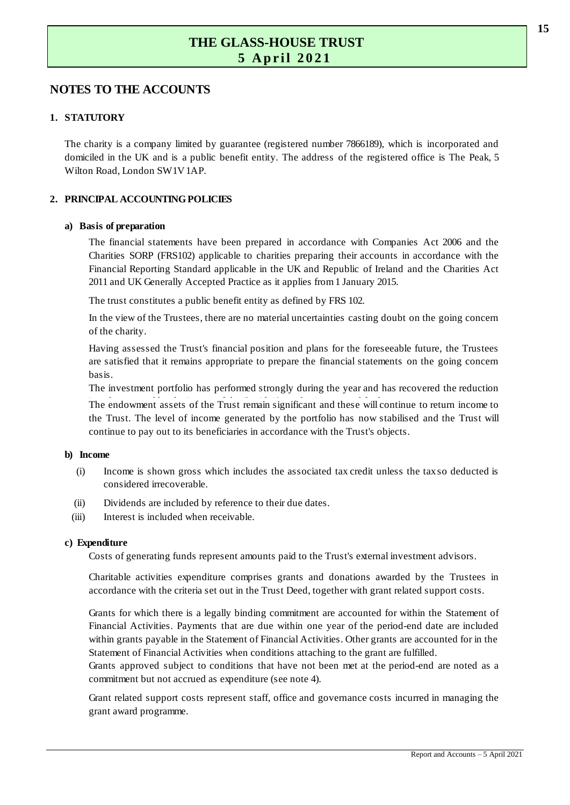# **NOTES TO THE ACCOUNTS 1 . STATUTORY**

**The charity is a company limited by guarantee (registered number 7866189), which is incorporated and** The charity is a company limited by guarantee (registered number 7866189), which is incorporated and domiciled in the UK and is a public benefit entity. The address of the registered office is The Peak, 5 Wilton Road, London SW1V 1AP.

#### **2 . PRINCIPAL ACCOUNTING POLICIES**

#### **a) Basis of preparation**

The financial statements have been prepared in accordance with Companies Act 2006 and the Experiences of preparation<br>The financial statements have been prepared in accordance with Companies Act 2006 and the<br>Charities SORP (FRS102) applicable to charities preparing their accounts in accordance with the<br>Financial Financial statements have been prepared in accordance with Companies Act 2006 and the<br>Charities SORP (FRS102) applicable to charities preparing their accounts in accordance with the<br>Financial Reporting Standard applicable 2011 and UK Generally Accepted Practice as it applies from 1 January 2015. Financial Reporting Standard applicable in the UK and Republic of Ireland and the Charities Act 2011 and UK Generally Accepted Practice as it applies from 1 January 2015.<br>The trust constitutes a public benefit entity as de

The trust constitutes a public benefit entity as defined by FRS 102.

of the charity.

Having assessed the Trust's financial position and plans for the foreseeable future, the Trustees In the view of the Trustees, there are no material uncertainties casting doubt on the going concern<br>of the charity.<br>Having assessed the Trust's financial position and plans for the foreseeable future, the Trustees<br>are sati basis.

The investment portfolio has performed strongly during the year and has recovered the reduction

are satisfied that it remains appropriate to prepare the financial statements on the going concern<br>basis.<br>The investment portfolio has performed strongly during the year and has recovered the reduction<br>The endowment assets the investment portfolio has performed strongly during the year and has recovered the reduction<br>The endowment assets of the Trust remain significant and these will continue to return income to<br>the Trust. The level of incom continue to pay out to its beneficiaries in accordance with the Trust's objects.

#### **b) Income**

- (i) Income is shown gross which includes the associated tax credit unless the taxs o deducted is considered irrecoverable.
- (ii) Dividends are included by reference to their due dates.
- $(iii)$ Interest is included when receivable.

#### **c) Expenditure**

Costs of generating funds represent amounts paid to the Trust's external investment advisors.

Penditure<br>Costs of generating funds represent amounts paid to the Trust's external investment advisors.<br>Charitable activities expenditure comprises grants and donations awarded by the Trustees in<br>accordance with the criter accordance with the criteria set out in the Trust Deed, together with grant related support costs. Charitable activities expenditure comprises grants and donations awarded by the Trustees in accordance with the criteria set out in the Trust Deed, together with grant related support costs.<br>Grants for which there is a leg

accordance with the criteria set out in the Trust Deed, together with grant related support costs.<br>Grants for which there is a legally binding commitment are accounted for within the Statement of Financial Activities. Paym within grants payable in the Statement of Financial Activities. Other grants are accounted for in the Statement of Financial Activities when conditions attaching to the grant are fulfilled. Financial Activities. Payments that are due within one year of the period-end date are included<br>within grants payable in the Statement of Financial Activities. Other grants are accounted for in the<br>Statement of Financial A

commitment but not accrued as expenditure (see note 4).

Grant related support costs represent staff, office and governance costs incurred in managing the grant award programme.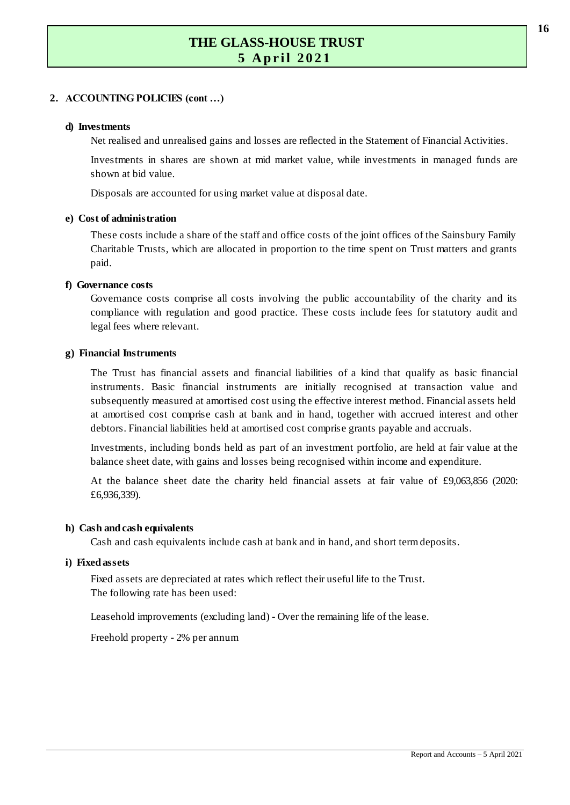#### **2 . ACCOUNTING POLICIES (cont …)**

#### **d) Investments**

Net realised and unrealised gains and losses are reflected in the Statement of Financial Activities.

Investments in shares are shown at mid market value, while investments in managed funds are shown at bid value.

Disposals are accounted for using market value at disposal date.

#### **e) Cost of administration**

These costs include a share of the staff and office costs of the joint offices of the Sainsbury Family of administration<br>These costs include a share of the staff and office costs of the joint offices of the Sainsbury Family<br>Charitable Trusts, which are allocated in proportion to the time spent on Trust matters and grants<br>pa paid. Charitable Trusts, which are allocated in proportion to the time spent on Trust matters and grants<br>paid.<br>Wernance costs<br>Governance costs comprise all costs involving the public accountability of the charity and its

#### **f) Governance costs**

compliance with regulation and good practice. These costs include fees for statutory audit and legal fees where relevant.

#### **g) Financial Instruments**

The Trust has financial assets and financial liabilities of a kind that qualify as basic financial instruments. Basic financial instruments are initially recognised at transaction value and subsequently measured at amortised cost using the effective interest method. Financial assets held at amortised cost comprise cash at bank and in hand, together with accrued interest and other debtors. Financial liabilities held at amortised cost comprise grants payable and accruals. Investments, including bonds held as part of an investment portfolio, are held at fair value at the balance sheet date, with gains and losses being recognised within income and expenditure.

balance sheet date, with gains and losses being recognised within income and expenditure. Investments, including bonds held as part of an investment portfolio, are held at fair value at the balance sheet date, with gains and losses being recognised within income and expenditure.<br>At the balance sheet date the ch

£6,936,339).

#### **h) Cash and cash equivalents**

Cash and cash equivalents include cash at bank and in hand, and short term deposits.

#### **i) Fixed assets**

Fixed assets are depreciated at rates which reflect their useful life to the Trust. The following rate has been used:

Leasehold improvements (excluding land) - Over the remaining life of the lease.

Freehold property - 2% per annum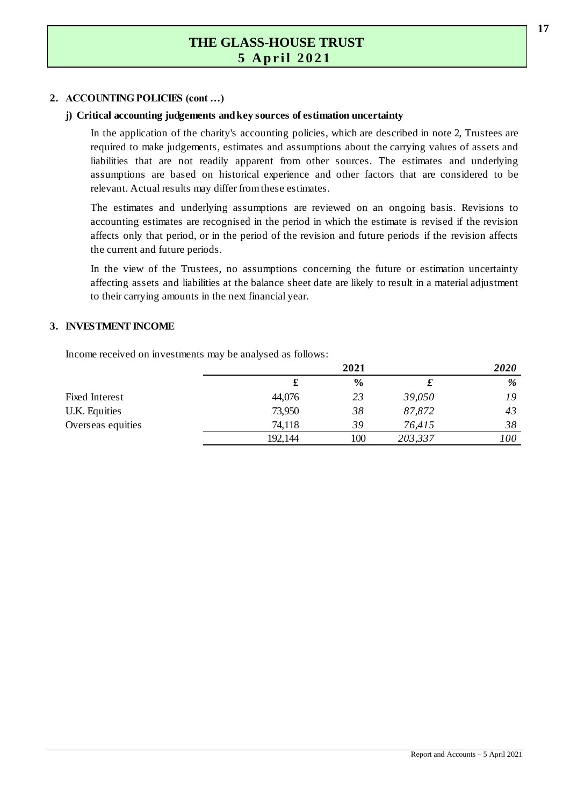#### **2 . ACCOUNTING POLICIES (cont …)**

#### **j) Critical accounting judgements and key sources of estimation uncertainty**

In the application of the charity's accounting policies, which are described in note 2, Trustees are required to make judgements, estimates and assumptions about the carrying values of assets and liabilities that are not readily apparent from other sources. The estimates and underlying In the application of the charity's accounting policies, which are described in note 2, Trustees are required to make judgements, estimates and assumptions about the carrying values of assets and liabilities that are not r relevant. Actual results may differ from these estimates. The estimates are based on historical experience and other factors that are considered to be<br>relevant. Actual results may differ from these estimates.<br>The estimates and underlying assumptions are reviewed on an ongoing bas

Exercise only that period, or in the period of the revision and future periods if the revision affects<br>the current and future periods.<br>In the view of the Trustees, no assumptions concerning the future or estimation uncerta accounting estimates are recognised in the period in which the estimate is revised if the revision The estimates and underlying assumptions are reviewed on an ongoing basis. Revisions to accounting estimates are recognised in the period in which the estimate is revised if the revision affects only that period, or in the the current and future periods.

affecting assets and liabilities at the balance sheet date are likely to result in a material adjustment to their carrying amounts in the next financial year.<br> **3. INVESTMENT INCOME** affecting assets and liabilities at the balance sheet date are likely to result in a material adjustment<br>to their carrying amounts in the next financial year. to their carrying amounts in the next financial year.

Income received on investments may be analysed as follows:

| Income received on investments may be analysed as follows: |         |               |         |             |
|------------------------------------------------------------|---------|---------------|---------|-------------|
|                                                            |         | 2021          |         | <i>2020</i> |
|                                                            |         | $\frac{0}{0}$ |         | %           |
| Fixed Interest                                             | 44,076  | 23            | 39,050  | 19          |
| U.K. Equities                                              | 73,950  | 38            | 87,872  | 43          |
| Overseas equities                                          | 74,118  | 39            | 76,415  | 38          |
|                                                            | 192,144 | 100           | 203,337 | 100         |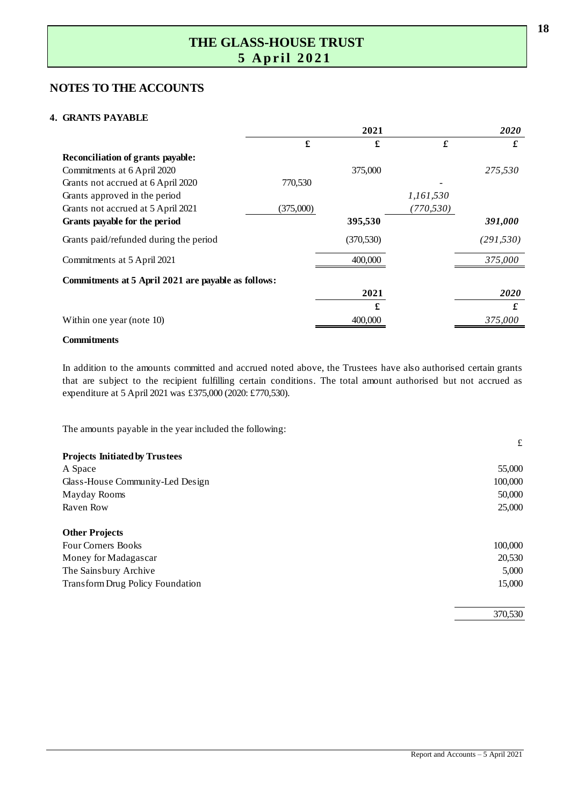# **NOTES TO THE ACCOUNTS 4 . GRANTS PAYABLE**

|                                                     |           | 2021       |            | 2020       |
|-----------------------------------------------------|-----------|------------|------------|------------|
|                                                     | £         | £          | $\pmb{f}$  | £          |
| Reconciliation of grants payable:                   |           |            |            |            |
| Commitments at 6 April 2020                         |           | 375,000    |            | 275,530    |
| Grants not accrued at 6 April 2020                  | 770,530   |            |            |            |
| Grants approved in the period                       |           |            | 1,161,530  |            |
| Grants not accrued at 5 April 2021                  | (375,000) |            | (770, 530) |            |
| Grants payable for the period                       |           | 395,530    |            | 391,000    |
| Grants paid/refunded during the period              |           | (370, 530) |            | (291, 530) |
| Commitments at 5 April 2021                         |           | 400,000    |            | 375,000    |
| Commitments at 5 April 2021 are payable as follows: |           |            |            |            |
|                                                     |           | 2021       |            | 2020       |
|                                                     |           | £          |            | £          |
| Within one year (note 10)                           |           | 400,000    |            | 375,000    |

#### **Commitments**

In addition to the amounts committed and accrued noted above, the Trustees have also authorised certain grants that are subject to the recipient fulfilling certain conditions. The total amount authorised but not accrued as expenditure at 5 April 2021 was £375,000 (2020: £770,530).

The amounts payable in the year included the following:

|                                         | £       |
|-----------------------------------------|---------|
| <b>Projects Initiated by Trustees</b>   |         |
| A Space                                 | 55,000  |
| Glass-House Community-Led Design        | 100,000 |
| Mayday Rooms                            | 50,000  |
| Raven Row                               | 25,000  |
| <b>Other Projects</b>                   |         |
| <b>Four Corners Books</b>               | 100,000 |
| Money for Madagascar                    | 20,530  |
| The Sainsbury Archive                   | 5,000   |
| <b>Transform Drug Policy Foundation</b> | 15,000  |
|                                         | 370,530 |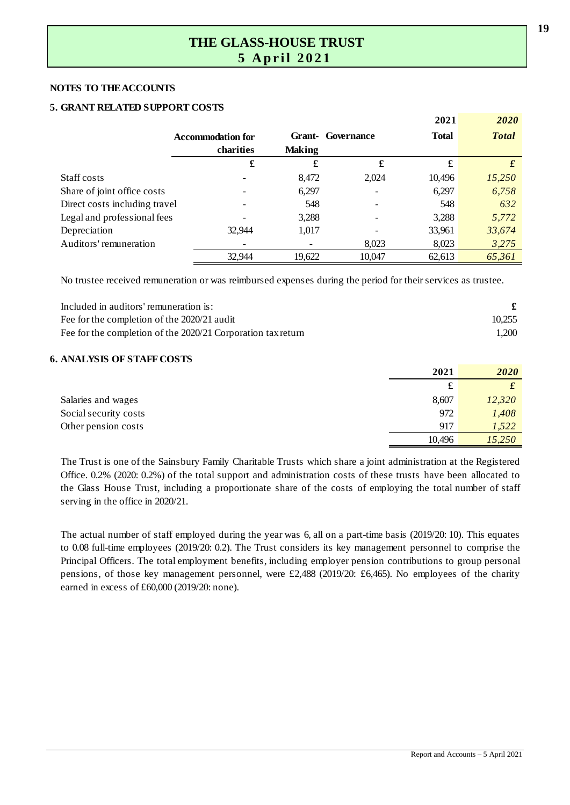#### **NOTES TO THE ACCOUNTS**

#### **5 . GRANT RELATED SUPPORT COSTS**

|                               |                          |               |                   | 2021         | 2020         |
|-------------------------------|--------------------------|---------------|-------------------|--------------|--------------|
|                               | <b>Accommodation for</b> |               | Grant- Governance | <b>Total</b> | <b>Total</b> |
|                               | charities                | <b>Making</b> |                   |              |              |
|                               | £                        | £             | £                 | £            |              |
| Staff costs                   |                          | 8,472         | 2,024             | 10,496       | 15,250       |
| Share of joint office costs   |                          | 6,297         |                   | 6,297        | 6,758        |
| Direct costs including travel |                          | 548           |                   | 548          | 632          |
| Legal and professional fees   |                          | 3,288         |                   | 3,288        | 5,772        |
| Depreciation                  | 32.944                   | 1,017         |                   | 33,961       | 33,674       |
| Auditors' remuneration        |                          |               | 8,023             | 8,023        | 3,275        |
|                               | 32.944                   | 19,622        | 10.047            | 62,613       | 65,361       |

No trustee received remuneration or was reimbursed expenses during the period for their services as trustee.

| Included in auditors' remuneration is:                       |        |
|--------------------------------------------------------------|--------|
| Fee for the completion of the 2020/21 audit                  | 10.255 |
| Fee for the completion of the 2020/21 Corporation tax return | 1.200  |

#### **6 . ANALYSIS OF STAFF COSTS**

|                       | 2021       | 2020   |
|-----------------------|------------|--------|
|                       | <b>CHA</b> |        |
| Salaries and wages    | 8,607      | 12,320 |
| Social security costs | 972        | 1,408  |
| Other pension costs   | 917        | 1,522  |
|                       | 10,496     | 15,250 |

The Trust is one of the Sainsbury Family Charitable Trusts which share a joint administration at the Registered The Trust is one of the Sainsbury Family Charitable Trusts which share a joint administration at the Registered<br>Office. 0.2% (2020: 0.2%) of the total support and administration costs of these trusts have been allocated to The Trust is one of the Sainsbury Family Charitable Trusts which share a joint administration at the Registered<br>Office. 0.2% (2020: 0.2%) of the total support and administration costs of these trusts have been allocated to serving in the office in 2020/21. the Glass House Trust, including a proportionate share of the costs of employing the total number of staff serving in the office in 2020/21.<br>The actual number of staff employed during the year was 6, all on a part-time bas

serving in the office in 2020/21.<br>The actual number of staff employed during the year was 6, all on a part-time basis (2019/20: 10). This equates<br>to 0.08 full-time employees (2019/20: 0.2). The Trust considers its key mana The actual number of staff employed during the year was 6, all on a part-time basis (2019/20: 10). This equates<br>to 0.08 full-time employees (2019/20: 0.2). The Trust considers its key management personnel to comprise the<br>P The actual number of staff employed during the year was 6, all on a part-time basis (2019/20: 10). This equates to 0.08 full-time employees (2019/20: 0.2). The Trust considers its key management personnel to comprise the earned in excess of £60,000 (2019/20: none).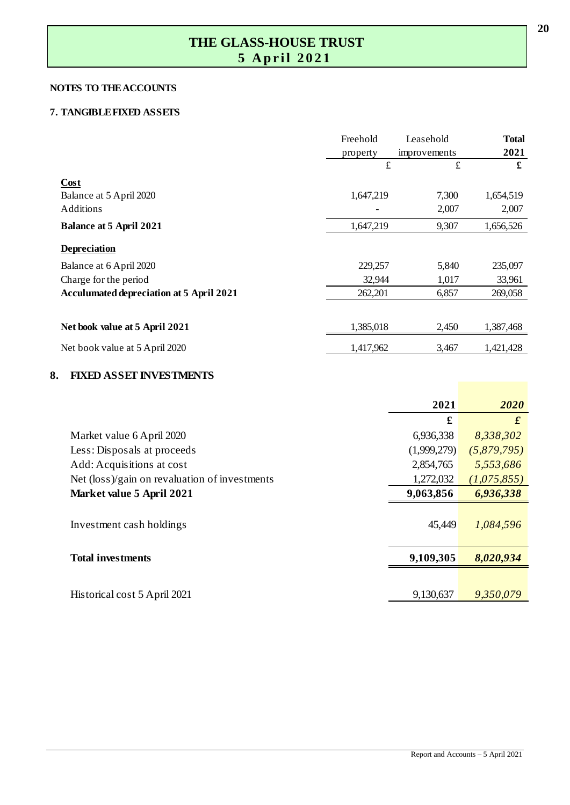#### **NOTES TO THE ACCOUNTS**

# **7 .** TANGIBLE FIXED ASSETS

|                                                 | Freehold<br>property | Leasehold<br>improvements | <b>Total</b><br>2021 |
|-------------------------------------------------|----------------------|---------------------------|----------------------|
|                                                 | $\pounds$            | $\pounds$                 | £                    |
| Cost                                            |                      |                           |                      |
| Balance at 5 April 2020<br>Additions            | 1,647,219            | 7,300<br>2,007            | 1,654,519<br>2,007   |
| <b>Balance at 5 April 2021</b>                  | 1,647,219            | 9,307                     | 1,656,526            |
| <b>Depreciation</b>                             |                      |                           |                      |
| Balance at 6 April 2020                         | 229,257              | 5,840                     | 235,097              |
| Charge for the period                           | 32,944               | 1,017                     | 33,961               |
| <b>Acculumated depreciation at 5 April 2021</b> | 262,201              | 6,857                     | 269,058              |
|                                                 |                      |                           |                      |
| Net book value at 5 April 2021                  | 1,385,018            | 2,450                     | 1,387,468            |
| Net book value at 5 April 2020                  | 1,417,962            | 3,467                     | 1,421,428            |

#### **8 . FIXED ASSET INVESTMENTS**

|                                               | 2021        | 2020             |
|-----------------------------------------------|-------------|------------------|
|                                               | £           | $\boldsymbol{f}$ |
| Market value 6 April 2020                     | 6,936,338   | 8,338,302        |
| Less: Disposals at proceeds                   | (1,999,279) | (5,879,795)      |
| Add: Acquisitions at cost                     | 2,854,765   | 5,553,686        |
| Net (loss)/gain on revaluation of investments | 1,272,032   | (1,075,855)      |
| Market value 5 April 2021                     | 9,063,856   | 6,936,338        |
| Investment cash holdings                      | 45,449      | 1,084,596        |
| <b>Total investments</b>                      | 9,109,305   | 8,020,934        |
|                                               |             |                  |
| Historical cost 5 April 2021                  | 9,130,637   | 9,350,079        |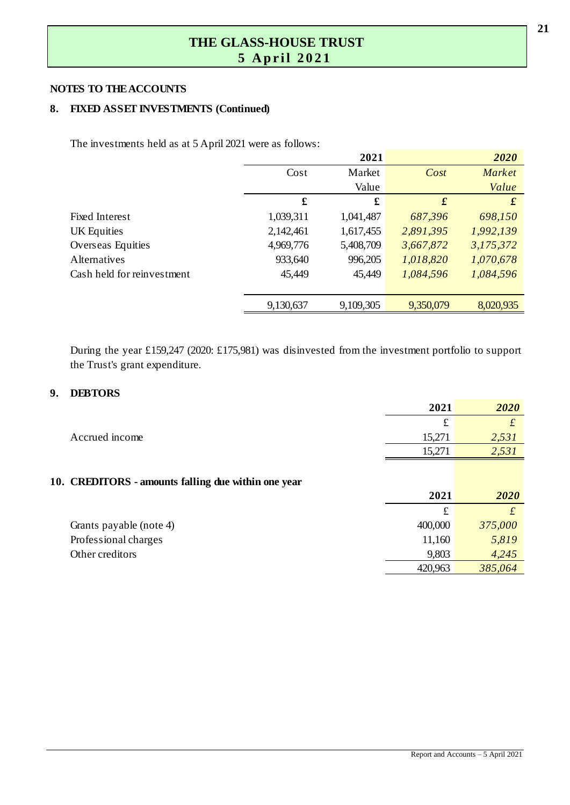#### **NOTES TO THE ACCOUNTS**

#### **8 . FIXED ASSET INVESTMENTS (Continued)**

The investments held as at 5 April 2021 were as follows:

|                            |           | 2021      |                  | 2020      |
|----------------------------|-----------|-----------|------------------|-----------|
|                            | Cost      | Market    | Cost             | Market    |
|                            |           | Value     |                  | Value     |
|                            | £         | £         | $\boldsymbol{f}$ | $\pmb{f}$ |
| <b>Fixed Interest</b>      | 1,039,311 | 1,041,487 | 687,396          | 698,150   |
| UK Equities                | 2,142,461 | 1,617,455 | 2,891,395        | 1,992,139 |
| Overseas Equities          | 4,969,776 | 5,408,709 | 3,667,872        | 3,175,372 |
| <b>Alternatives</b>        | 933,640   | 996,205   | 1,018,820        | 1,070,678 |
| Cash held for reinvestment | 45,449    | 45,449    | 1,084,596        | 1,084,596 |
|                            | 9,130,637 | 9,109,305 | 9,350,079        | 8,020,935 |

During the year £159,247 (2020: £175,981) was disinvested from the investment portfolio to support the Trust's grant expenditure.

#### **9 . DEBTORS**

|                                                     | 2021    | 2020      |
|-----------------------------------------------------|---------|-----------|
|                                                     | £       | $\pounds$ |
| Accrued income                                      | 15,271  | 2,531     |
|                                                     | 15,271  | 2,531     |
| 10. CREDITORS - amounts falling due within one year |         |           |
|                                                     | 2021    | 2020      |
|                                                     | £       | £         |
| Grants payable (note 4)                             | 400,000 | 375,000   |
| Professional charges                                | 11,160  | 5,819     |
| Other creditors                                     | 9,803   | 4,245     |
|                                                     | 420,963 | 385,064   |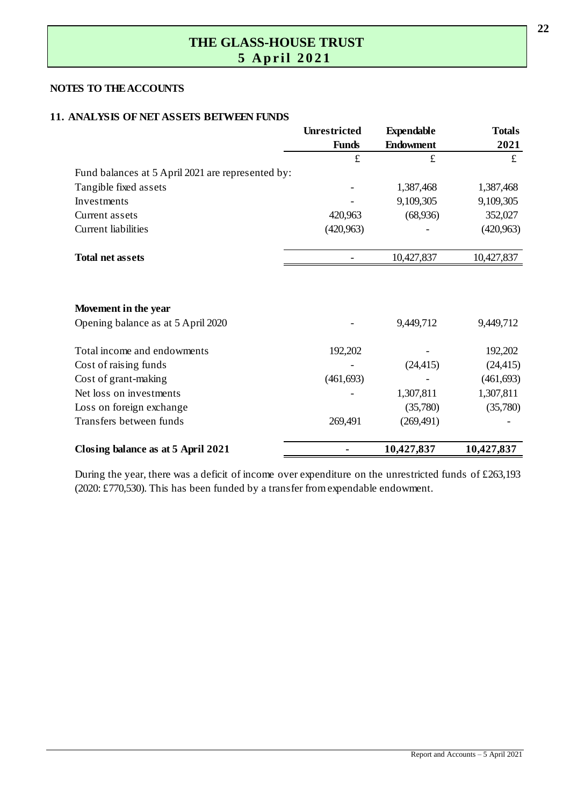#### **NOTES TO THE ACCOUNTS**

#### **11. ANALYSIS OF NET ASSETS BETWEEN FUNDS**

|                                                   | <b>Unrestricted</b> | <b>Expendable</b> | <b>Totals</b> |
|---------------------------------------------------|---------------------|-------------------|---------------|
|                                                   | <b>Funds</b>        | <b>Endowment</b>  | 2021          |
|                                                   | $\pounds$           | £                 | £             |
| Fund balances at 5 April 2021 are represented by: |                     |                   |               |
| Tangible fixed assets                             |                     | 1,387,468         | 1,387,468     |
| Investments                                       |                     | 9,109,305         | 9,109,305     |
| Current assets                                    | 420,963             | (68,936)          | 352,027       |
| <b>Current liabilities</b>                        | (420, 963)          |                   | (420, 963)    |
| <b>Total net assets</b>                           |                     | 10,427,837        | 10,427,837    |
| Movement in the year                              |                     |                   |               |
| Opening balance as at 5 April 2020                |                     | 9,449,712         | 9,449,712     |
| Total income and endowments                       | 192,202             |                   | 192,202       |
| Cost of raising funds                             |                     | (24, 415)         | (24, 415)     |
| Cost of grant-making                              | (461, 693)          |                   | (461, 693)    |
| Net loss on investments                           |                     | 1,307,811         | 1,307,811     |
| Loss on foreign exchange                          |                     | (35,780)          | (35,780)      |
| Transfers between funds                           | 269,491             | (269, 491)        |               |
| Closing balance as at 5 April 2021                |                     | 10,427,837        | 10,427,837    |

During the year, there was a deficit of income over expenditure on the unrestricted funds of  $£263,193$ (2020: £770,530). This has been funded by a transfer from expendable endowment.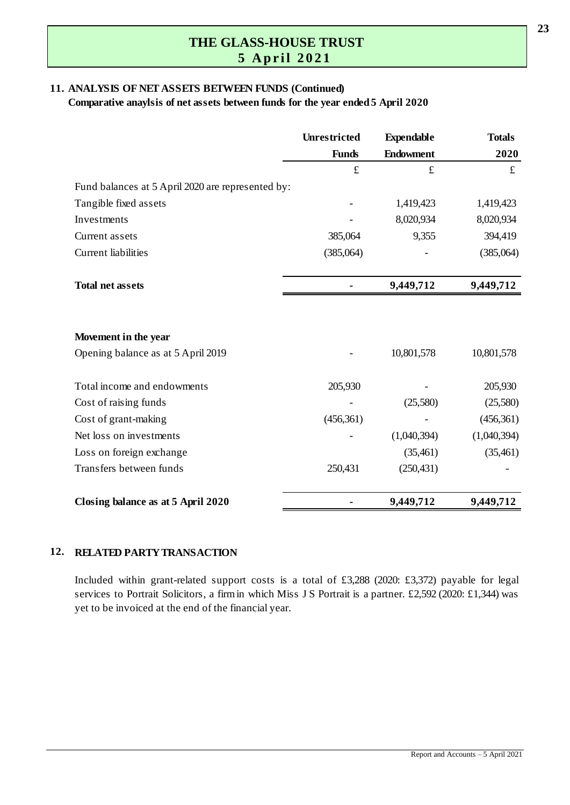#### **11. ANALYSIS OF NET ASSETS BETWEEN FUNDS (Continued)**

**Comparative anaylsis of net assets between funds for the year ended 5 April 2020**

|                                                   | <b>Unrestricted</b> | <b>Expendable</b> | <b>Totals</b> |
|---------------------------------------------------|---------------------|-------------------|---------------|
|                                                   | <b>Funds</b>        | <b>Endowment</b>  | 2020          |
|                                                   | $\pounds$           | £                 | £             |
| Fund balances at 5 April 2020 are represented by: |                     |                   |               |
| Tangible fixed assets                             |                     | 1,419,423         | 1,419,423     |
| Investments                                       |                     | 8,020,934         | 8,020,934     |
| Current assets                                    | 385,064             | 9,355             | 394,419       |
| <b>Current</b> liabilities                        | (385,064)           |                   | (385,064)     |
| <b>Total net assets</b>                           |                     | 9,449,712         | 9,449,712     |
|                                                   |                     |                   |               |
| Movement in the year                              |                     |                   |               |
| Opening balance as at 5 April 2019                |                     | 10,801,578        | 10,801,578    |
| Total income and endowments                       | 205,930             |                   | 205,930       |
| Cost of raising funds                             |                     | (25,580)          | (25,580)      |
| Cost of grant-making                              | (456, 361)          |                   | (456, 361)    |
| Net loss on investments                           |                     | (1,040,394)       | (1,040,394)   |
| Loss on foreign exchange                          |                     | (35, 461)         | (35, 461)     |
| Transfers between funds                           | 250,431             | (250, 431)        |               |
| Closing balance as at 5 April 2020                |                     | 9,449,712         | 9,449,712     |

#### **12. RELATED PARTY TRANSACTION**

**RELATED PARTY TRANSACTION**<br>Included within grant-related support costs is a total of £3,288 (2020: £3,372) payable for legal<br>services to Portrait Solicitors, a firm in which Miss J.S. Portrait is a partner, £2,592 (2020: **RELATED PARTY TRANSACTION**<br>Included within grant-related support costs is a total of £3,288 (2020: £3,372) payable for legal<br>services to Portrait Solicitors, a firm in which Miss J S Portrait is a partner. £2,592 (2020: £ yet to be invoiced at the end of the financial year.